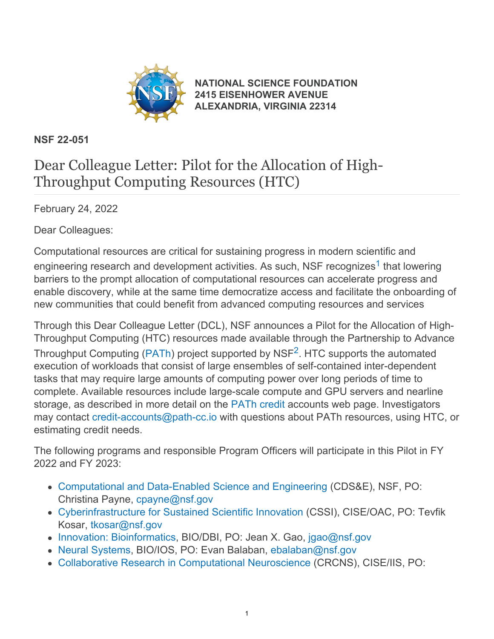

**[NATIONAL SCIENCE FOUNDATION](https://www.nsf.gov/) [2415 EISENHOWER AVENUE](https://www.nsf.gov/) [ALEXANDRIA, VIRGINIA 22314](https://www.nsf.gov/)**

## **NSF 22-051**

# Dear Colleague Letter: Pilot for the Allocation of High-Throughput Computing Resources (HTC)

February 24, 2022

Dear Colleagues:

Computational resources are critical for sustaining progress in modern scientific and engineering research and development activities. As such, NSF recognizes<sup>[1](#page-3-0)</sup> that lowering barriers to the prompt allocation of computational resources can accelerate progress and enable discovery, while at the same time democratize access and facilitate the onboarding of new communities that could benefit from advanced computing resources and services

Through this Dear Colleague Letter (DCL), NSF announces a Pilot for the Allocation of High-Throughput Computing (HTC) resources made available through the Partnership to Advance Throughput Computing [\(PATh](https://www.nsf.gov/cgi-bin/goodbye?https://path-cc.io/)) project supported by NSF<sup>[2](#page-3-1)</sup>. HTC supports the automated execution of workloads that consist of large ensembles of self-contained inter-dependent tasks that may require large amounts of computing power over long periods of time to complete. Available resources include large-scale compute and GPU servers and nearline storage, as described in more detail on the [PATh credit](https://path-cc.io/services/credit-accounts/) accounts web page. Investigators may contact [credit-accounts@path-cc.io](mailto:credit-accounts@path-cc.io) with questions about PATh resources, using HTC, or estimating credit needs.

The following programs and responsible Program Officers will participate in this Pilot in FY 2022 and FY 2023:

- [Computational and Data-Enabled Science and Engineering](https://beta.nsf.gov/funding/opportunities/computational-and-data-enabled-science-and-engineering-cdse-0) (CDS&E), NSF, PO: Christina Payne, [cpayne@nsf.gov](mailto:cpayne@nsf.gov)
- [Cyberinfrastructure for Sustained Scientific Innovation](https://beta.nsf.gov/funding/opportunities/cyberinfrastructure-sustained-scientific-innovation-cssi) (CSSI), CISE/OAC, PO: Tevfik Kosar, [tkosar@nsf.gov](mailto:tkosar@nsf.gov)
- [Innovation: Bioinformatics,](https://beta.nsf.gov/funding/opportunities/innovation-bioinformatics) BIO/DBI, PO: Jean X. Gao, [jgao@nsf.gov](mailto:jgao@nsf.gov)
- [Neural Systems](https://beta.nsf.gov/funding/opportunities/neural-systems-0), BIO/IOS, PO: Evan Balaban, [ebalaban@nsf.gov](mailto:ebalaban@nsf.gov)
- [Collaborative Research in Computational Neuroscience](https://beta.nsf.gov/funding/opportunities/collaborative-research-computational-neuroscience-crcns) (CRCNS), CISE/IIS, PO: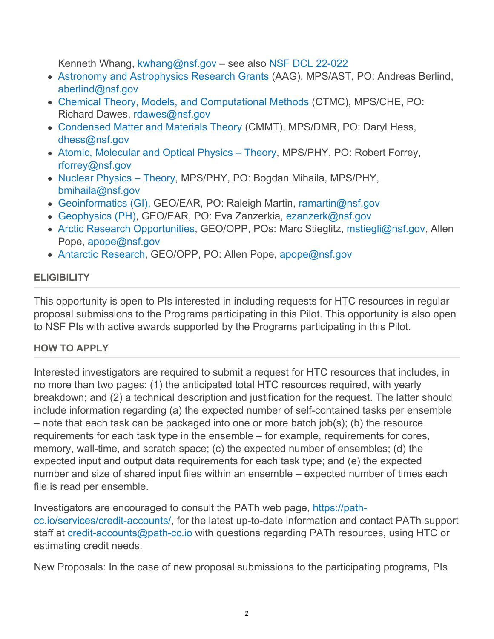Kenneth Whang, [kwhang@nsf.gov](mailto:kwhang@nsf.gov) – see also [NSF DCL 22-022](https://www.nsf.gov/publications/pub_summ.jsp?ods_key=nsf22022)

- [Astronomy and Astrophysics Research Grants](https://beta.nsf.gov/funding/opportunities/astronomy-and-astrophysics-research-grants-aag) (AAG), MPS/AST, PO: Andreas Berlind, [aberlind@nsf.gov](mailto:aberlind@nsf.gov)
- [Chemical Theory, Models, and Computational Methods](https://beta.nsf.gov/funding/opportunities/chemical-theory-models-and-computational-methods-ctmc-0) (CTMC), MPS/CHE, PO: Richard Dawes, [rdawes@nsf.gov](mailto:rdawes@nsf.gov)
- [Condensed Matter and Materials Theory](https://beta.nsf.gov/funding/opportunities/condensed-matter-and-materials-theory-cmmt-0) (CMMT), MPS/DMR, PO: Daryl Hess, [dhess@nsf.gov](mailto:dhess@nsf.gov)
- [Atomic, Molecular and Optical Physics](https://beta.nsf.gov/funding/opportunities/atomic-molecular-and-optical-physics-theory-0) – [Theory](https://beta.nsf.gov/funding/opportunities/atomic-molecular-and-optical-physics-theory-0), MPS/PHY, PO: Robert Forrey, [rforrey@nsf.gov](mailto:rforrey@nsf.gov)
- [Nuclear Physics](https://beta.nsf.gov/funding/opportunities/nuclear-physics-theory-0) – [Theory](https://beta.nsf.gov/funding/opportunities/nuclear-physics-theory-0), MPS/PHY, PO: Bogdan Mihaila, MPS/PHY, [bmihaila@nsf.gov](mailto:bmihaila@nsf.gov)
- [Geoinformatics \(GI\),](https://beta.nsf.gov/funding/opportunities/geoinformatics-gi) GEO/EAR, PO: Raleigh Martin, [ramartin@nsf.gov](mailto:ramartin@nsf.gov)
- [Geophysics \(PH\)](https://beta.nsf.gov/funding/opportunities/geophysics-ph-0), GEO/EAR, PO: Eva Zanzerkia, [ezanzerk@nsf.gov](mailto:ezanzerk@nsf.gov)
- [Arctic Research Opportunities](https://beta.nsf.gov/funding/opportunities/arctic-research-opportunities), GEO/OPP, POs: Marc Stieglitz, [mstiegli@nsf.gov](mailto:mstiegli@nsf.gov), Allen Pope, [apope@nsf.gov](mailto:apope@nsf.gov)
- [Antarctic Research](https://beta.nsf.gov/funding/opportunities/antarctic-research), GEO/OPP, PO: Allen Pope, [apope@nsf.gov](mailto:apope@nsf.gov)

#### **ELIGIBILITY**

This opportunity is open to PIs interested in including requests for HTC resources in regular proposal submissions to the Programs participating in this Pilot. This opportunity is also open to NSF PIs with active awards supported by the Programs participating in this Pilot.

#### **HOW TO APPLY**

Interested investigators are required to submit a request for HTC resources that includes, in no more than two pages: (1) the anticipated total HTC resources required, with yearly breakdown; and (2) a technical description and justification for the request. The latter should include information regarding (a) the expected number of self-contained tasks per ensemble  $-$  note that each task can be packaged into one or more batch job(s); (b) the resource requirements for each task type in the ensemble – for example, requirements for cores, memory, wall-time, and scratch space; (c) the expected number of ensembles; (d) the expected input and output data requirements for each task type; and (e) the expected number and size of shared input files within an ensemble – expected number of times each file is read per ensemble.

Investigators are encouraged to consult the PATh web page, [https://path](https://www.nsf.gov/cgi-bin/goodbye?https://path-cc.io/services/credit-accounts/)[cc.io/services/credit-accounts/](https://www.nsf.gov/cgi-bin/goodbye?https://path-cc.io/services/credit-accounts/), for the latest up-to-date information and contact PATh support staff at [credit-accounts@path-cc.io](mailto:credit-accounts@path-cc.io) with questions regarding PATh resources, using HTC or estimating credit needs.

New Proposals: In the case of new proposal submissions to the participating programs, PIs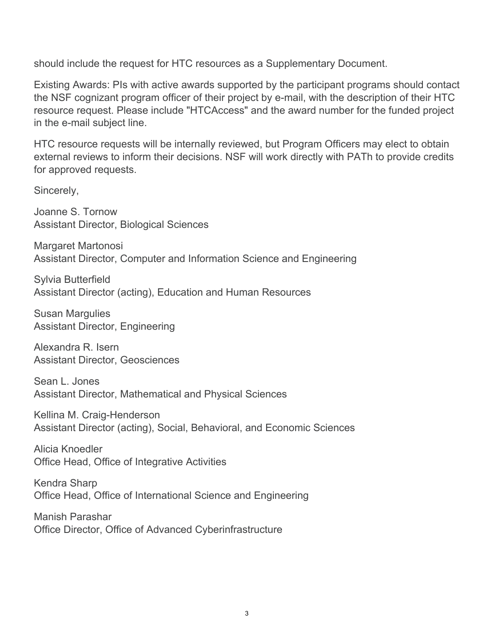should include the request for HTC resources as a Supplementary Document.

Existing Awards: PIs with active awards supported by the participant programs should contact the NSF cognizant program officer of their project by e-mail, with the description of their HTC resource request. Please include "HTCAccess" and the award number for the funded project in the e-mail subject line.

HTC resource requests will be internally reviewed, but Program Officers may elect to obtain external reviews to inform their decisions. NSF will work directly with PATh to provide credits for approved requests.

Sincerely,

Joanne S. Tornow Assistant Director, Biological Sciences

Margaret Martonosi Assistant Director, Computer and Information Science and Engineering

Sylvia Butterfield Assistant Director (acting), Education and Human Resources

Susan Margulies Assistant Director, Engineering

Alexandra R. Isern Assistant Director, Geosciences

Sean L. Jones Assistant Director, Mathematical and Physical Sciences

Kellina M. Craig-Henderson Assistant Director (acting), Social, Behavioral, and Economic Sciences

Alicia Knoedler Office Head, Office of Integrative Activities

Kendra Sharp Office Head, Office of International Science and Engineering

Manish Parashar Office Director, Office of Advanced Cyberinfrastructure